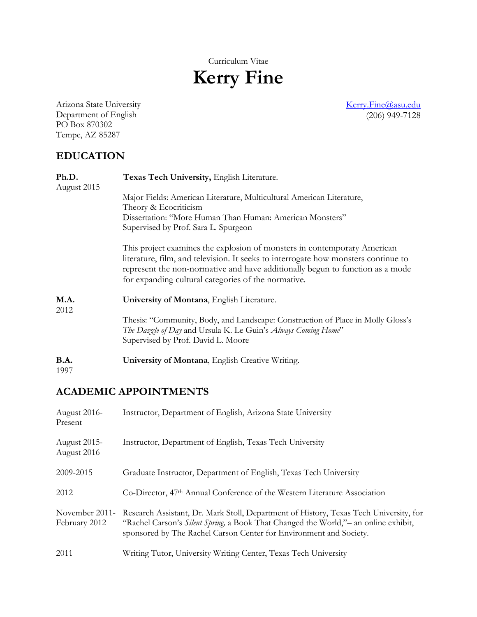Curriculum Vitae

# **Kerry Fine**

[Kerry.Fine@asu.edu](mailto:Kerry.Fine@asu.edu) (206) 949-7128

Arizona State University Department of English PO Box 870302 Tempe, AZ 85287

# **EDUCATION**

| Ph.D.<br>August 2015 | Texas Tech University, English Literature.                                                                                                                                                                                                                                                             |
|----------------------|--------------------------------------------------------------------------------------------------------------------------------------------------------------------------------------------------------------------------------------------------------------------------------------------------------|
|                      | Major Fields: American Literature, Multicultural American Literature,<br>Theory & Ecocriticism                                                                                                                                                                                                         |
|                      | Dissertation: "More Human Than Human: American Monsters"<br>Supervised by Prof. Sara L. Spurgeon                                                                                                                                                                                                       |
|                      | This project examines the explosion of monsters in contemporary American<br>literature, film, and television. It seeks to interrogate how monsters continue to<br>represent the non-normative and have additionally begun to function as a mode<br>for expanding cultural categories of the normative. |
| M.A.<br>2012         | University of Montana, English Literature.                                                                                                                                                                                                                                                             |
|                      | Thesis: "Community, Body, and Landscape: Construction of Place in Molly Gloss's<br>The Dazzle of Day and Ursula K. Le Guin's Always Coming Home"<br>Supervised by Prof. David L. Moore                                                                                                                 |
| B.A.<br>1997         | University of Montana, English Creative Writing.                                                                                                                                                                                                                                                       |

# **ACADEMIC APPOINTMENTS**

| August 2016-<br>Present         | Instructor, Department of English, Arizona State University                                                                                                                                                                                         |
|---------------------------------|-----------------------------------------------------------------------------------------------------------------------------------------------------------------------------------------------------------------------------------------------------|
| August 2015-<br>August 2016     | Instructor, Department of English, Texas Tech University                                                                                                                                                                                            |
| 2009-2015                       | Graduate Instructor, Department of English, Texas Tech University                                                                                                                                                                                   |
| 2012                            | Co-Director, 47 <sup>th</sup> Annual Conference of the Western Literature Association                                                                                                                                                               |
| November 2011-<br>February 2012 | Research Assistant, Dr. Mark Stoll, Department of History, Texas Tech University, for<br>"Rachel Carson's Silent Spring, a Book That Changed the World," - an online exhibit,<br>sponsored by The Rachel Carson Center for Environment and Society. |
| 2011                            | Writing Tutor, University Writing Center, Texas Tech University                                                                                                                                                                                     |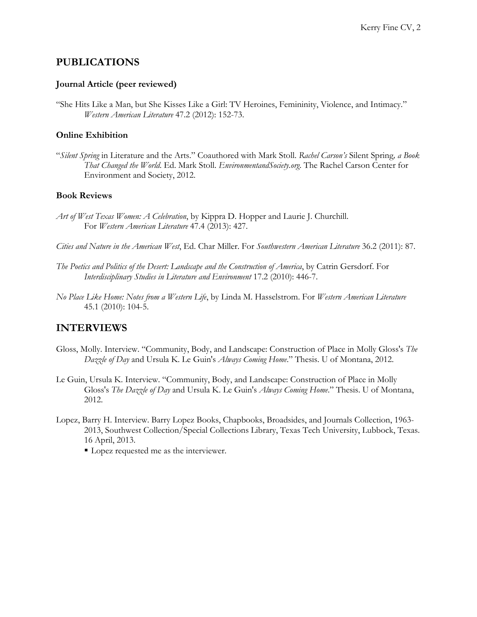## **PUBLICATIONS**

#### **Journal Article (peer reviewed)**

"She Hits Like a Man, but She Kisses Like a Girl: TV Heroines, Femininity, Violence, and Intimacy." *Western American Literature* 47.2 (2012): 152-73.

#### **Online Exhibition**

"*Silent Spring* in Literature and the Arts." Coauthored with Mark Stoll. *Rachel Carson's* Silent Spring*, a Book That Changed the World*. Ed. Mark Stoll. *EnvironmentandSociety.org*. The Rachel Carson Center for Environment and Society, 2012.

#### **Book Reviews**

- *Art of West Texas Women: A Celebration*, by Kippra D. Hopper and Laurie J. Churchill. For *Western American Literature* 47.4 (2013): 427.
- *Cities and Nature in the American West*, Ed. Char Miller. For *Southwestern American Literature* 36.2 (2011): 87.
- *The Poetics and Politics of the Desert: Landscape and the Construction of America*, by Catrin Gersdorf. For *Interdisciplinary Studies in Literature and Environment* 17.2 (2010): 446-7.
- *No Place Like Home: Notes from a Western Life*, by Linda M. Hasselstrom. For *Western American Literature* 45.1 (2010): 104-5.

### **INTERVIEWS**

- Gloss, Molly. Interview. "Community, Body, and Landscape: Construction of Place in Molly Gloss's *The Dazzle of Day* and Ursula K. Le Guin's *Always Coming Home*." Thesis. U of Montana, 2012.
- Le Guin, Ursula K. Interview. "Community, Body, and Landscape: Construction of Place in Molly Gloss's *The Dazzle of Day* and Ursula K. Le Guin's *Always Coming Home*." Thesis. U of Montana, 2012.
- Lopez, Barry H. Interview. Barry Lopez Books, Chapbooks, Broadsides, and Journals Collection, 1963- 2013, Southwest Collection/Special Collections Library, Texas Tech University, Lubbock, Texas. 16 April, 2013.
	- Lopez requested me as the interviewer.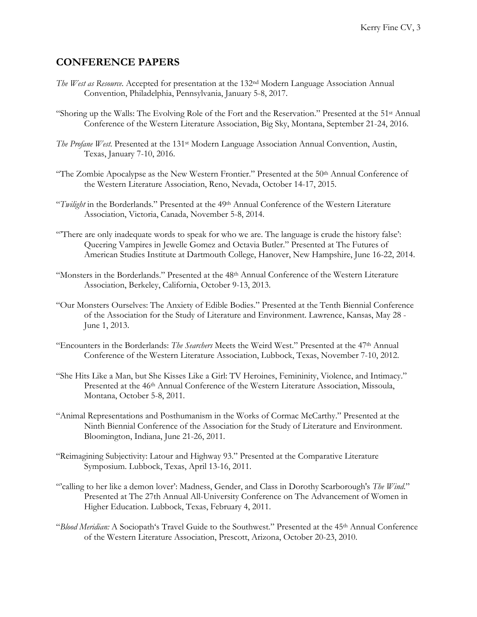# **CONFERENCE PAPERS**

- *The West as Resource*. Accepted for presentation at the 132nd Modern Language Association Annual Convention, Philadelphia, Pennsylvania, January 5-8, 2017.
- "Shoring up the Walls: The Evolving Role of the Fort and the Reservation." Presented at the 51st Annual Conference of the Western Literature Association, Big Sky, Montana, September 21-24, 2016.
- *The Profane West*. Presented at the 131st Modern Language Association Annual Convention, Austin, Texas, January 7-10, 2016.
- "The Zombie Apocalypse as the New Western Frontier." Presented at the  $50<sup>th</sup>$  Annual Conference of the Western Literature Association, Reno, Nevada, October 14-17, 2015.
- "*Twilight* in the Borderlands." Presented at the 49th Annual Conference of the Western Literature Association, Victoria, Canada, November 5-8, 2014.
- "'There are only inadequate words to speak for who we are. The language is crude the history false': Queering Vampires in Jewelle Gomez and Octavia Butler." Presented at The Futures of American Studies Institute at Dartmouth College, Hanover, New Hampshire, June 16-22, 2014.
- "Monsters in the Borderlands." Presented at the 48th Annual Conference of the Western Literature Association, Berkeley, California, October 9-13, 2013.
- "Our Monsters Ourselves: The Anxiety of Edible Bodies." Presented at the Tenth Biennial Conference of the Association for the Study of Literature and Environment. Lawrence, Kansas, May 28 - June 1, 2013.
- "Encounters in the Borderlands: *The Searchers* Meets the Weird West." Presented at the 47th Annual Conference of the Western Literature Association, Lubbock, Texas, November 7-10, 2012.
- "She Hits Like a Man, but She Kisses Like a Girl: TV Heroines, Femininity, Violence, and Intimacy." Presented at the 46<sup>th</sup> Annual Conference of the Western Literature Association, Missoula, Montana, October 5-8, 2011.
- "Animal Representations and Posthumanism in the Works of Cormac McCarthy." Presented at the Ninth Biennial Conference of the Association for the Study of Literature and Environment. Bloomington, Indiana, June 21-26, 2011.
- "Reimagining Subjectivity: Latour and Highway 93." Presented at the Comparative Literature Symposium. Lubbock, Texas, April 13-16, 2011.
- "'calling to her like a demon lover': Madness, Gender, and Class in Dorothy Scarborough's *The Wind*." Presented at The 27th Annual All-University Conference on The Advancement of Women in Higher Education. Lubbock, Texas, February 4, 2011.
- "*Blood Meridian:* A Sociopath's Travel Guide to the Southwest." Presented at the 45th Annual Conference of the Western Literature Association, Prescott, Arizona, October 20-23, 2010.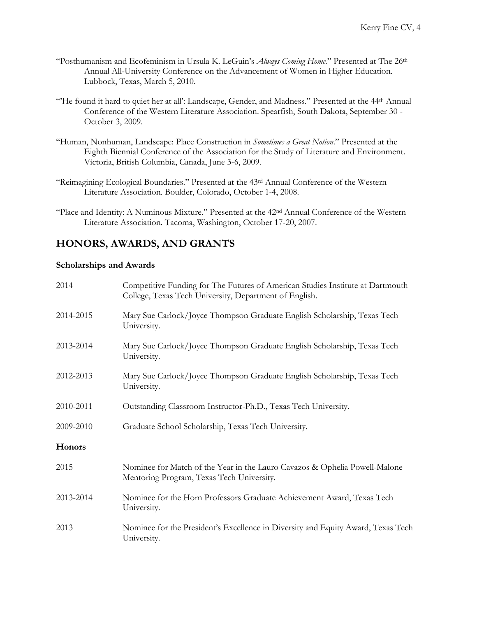- "Posthumanism and Ecofeminism in Ursula K. LeGuin's *Always Coming Home*." Presented at The 26th Annual All-University Conference on the Advancement of Women in Higher Education. Lubbock, Texas, March 5, 2010.
- "He found it hard to quiet her at all': Landscape, Gender, and Madness." Presented at the 44<sup>th</sup> Annual Conference of the Western Literature Association. Spearfish, South Dakota, September 30 - October 3, 2009.
- "Human, Nonhuman, Landscape: Place Construction in *Sometimes a Great Notion*." Presented at the Eighth Biennial Conference of the Association for the Study of Literature and Environment. Victoria, British Columbia, Canada, June 3-6, 2009.
- "Reimagining Ecological Boundaries." Presented at the 43rd Annual Conference of the Western Literature Association. Boulder, Colorado, October 1-4, 2008.
- "Place and Identity: A Numinous Mixture." Presented at the 42nd Annual Conference of the Western Literature Association. Tacoma, Washington, October 17-20, 2007.

# **HONORS, AWARDS, AND GRANTS**

#### **Scholarships and Awards**

| 2014          | Competitive Funding for The Futures of American Studies Institute at Dartmouth<br>College, Texas Tech University, Department of English. |
|---------------|------------------------------------------------------------------------------------------------------------------------------------------|
| 2014-2015     | Mary Sue Carlock/Joyce Thompson Graduate English Scholarship, Texas Tech<br>University.                                                  |
| 2013-2014     | Mary Sue Carlock/Joyce Thompson Graduate English Scholarship, Texas Tech<br>University.                                                  |
| 2012-2013     | Mary Sue Carlock/Joyce Thompson Graduate English Scholarship, Texas Tech<br>University.                                                  |
| 2010-2011     | Outstanding Classroom Instructor-Ph.D., Texas Tech University.                                                                           |
| 2009-2010     | Graduate School Scholarship, Texas Tech University.                                                                                      |
| <b>Honors</b> |                                                                                                                                          |
| 2015          | Nominee for Match of the Year in the Lauro Cavazos & Ophelia Powell-Malone<br>Mentoring Program, Texas Tech University.                  |
| 2013-2014     | Nominee for the Horn Professors Graduate Achievement Award, Texas Tech<br>University.                                                    |
| 2013          | Nominee for the President's Excellence in Diversity and Equity Award, Texas Tech<br>University.                                          |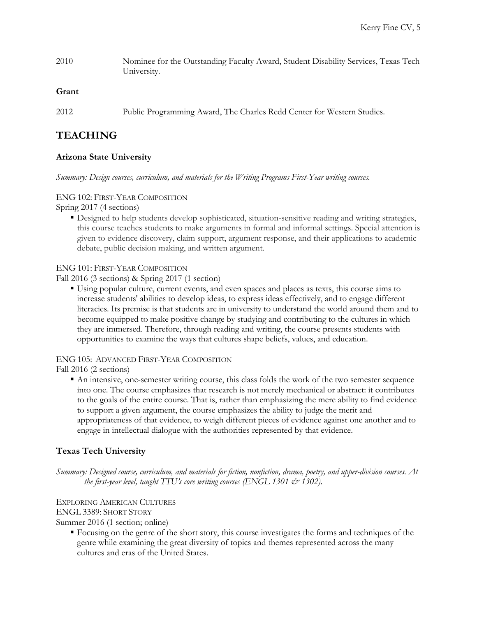2010 Nominee for the Outstanding Faculty Award, Student Disability Services, Texas Tech University.

#### **Grant**

2012 Public Programming Award, The Charles Redd Center for Western Studies.

## **TEACHING**

#### **Arizona State University**

*Summary: Design courses, curriculum, and materials for the Writing Programs First-Year writing courses.*

#### ENG 102: FIRST-YEAR COMPOSITION

Spring 2017 (4 sections)

 Designed to help students develop sophisticated, situation-sensitive reading and writing strategies, this course teaches students to make arguments in formal and informal settings. Special attention is given to evidence discovery, claim support, argument response, and their applications to academic debate, public decision making, and written argument.

#### ENG 101: FIRST-YEAR COMPOSITION

Fall 2016 (3 sections) & Spring 2017 (1 section)

 Using popular culture, current events, and even spaces and places as texts, this course aims to increase students' abilities to develop ideas, to express ideas effectively, and to engage different literacies. Its premise is that students are in university to understand the world around them and to become equipped to make positive change by studying and contributing to the cultures in which they are immersed. Therefore, through reading and writing, the course presents students with opportunities to examine the ways that cultures shape beliefs, values, and education.

#### ENG 105: ADVANCED FIRST-YEAR COMPOSITION

Fall 2016 (2 sections)

 An intensive, one-semester writing course, this class folds the work of the two semester sequence into one. The course emphasizes that research is not merely mechanical or abstract: it contributes to the goals of the entire course. That is, rather than emphasizing the mere ability to find evidence to support a given argument, the course emphasizes the ability to judge the merit and appropriateness of that evidence, to weigh different pieces of evidence against one another and to engage in intellectual dialogue with the authorities represented by that evidence.

#### **Texas Tech University**

*Summary: Designed course, curriculum, and materials for fiction, nonfiction, drama, poetry, and upper-division courses. At the first-year level, taught TTU's core writing courses (ENGL 1301 & 1302).* 

#### EXPLORING AMERICAN CULTURES

ENGL 3389: SHORT STORY

Summer 2016 (1 section; online)

 Focusing on the genre of the short story, this course investigates the forms and techniques of the genre while examining the great diversity of topics and themes represented across the many cultures and eras of the United States.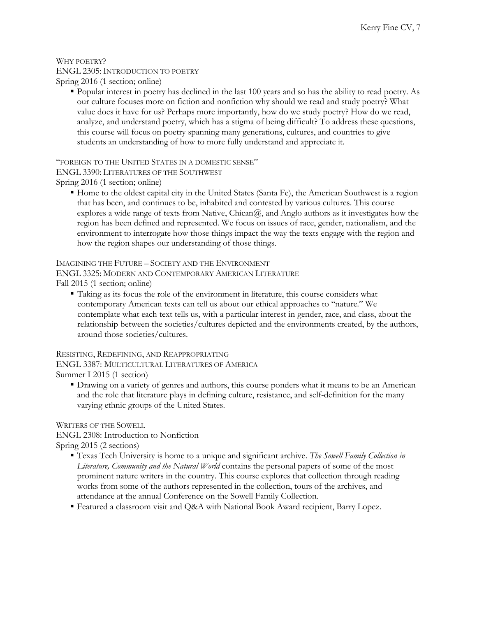#### WHY POETRY? ENGL 2305: INTRODUCTION TO POETRY Spring 2016 (1 section; online)

 Popular interest in poetry has declined in the last 100 years and so has the ability to read poetry. As our culture focuses more on fiction and nonfiction why should we read and study poetry? What value does it have for us? Perhaps more importantly, how do we study poetry? How do we read, analyze, and understand poetry, which has a stigma of being difficult? To address these questions, this course will focus on poetry spanning many generations, cultures, and countries to give students an understanding of how to more fully understand and appreciate it.

"FOREIGN TO THE UNITED STATES IN A DOMESTIC SENSE"

ENGL 3390: LITERATURES OF THE SOUTHWEST

Spring 2016 (1 section; online)

 Home to the oldest capital city in the United States (Santa Fe), the American Southwest is a region that has been, and continues to be, inhabited and contested by various cultures. This course explores a wide range of texts from Native,  $Chican@$ , and Anglo authors as it investigates how the region has been defined and represented. We focus on issues of race, gender, nationalism, and the environment to interrogate how those things impact the way the texts engage with the region and how the region shapes our understanding of those things.

IMAGINING THE FUTURE – SOCIETY AND THE ENVIRONMENT

ENGL 3325: MODERN AND CONTEMPORARY AMERICAN LITERATURE

Fall 2015 (1 section; online)

 Taking as its focus the role of the environment in literature, this course considers what contemporary American texts can tell us about our ethical approaches to "nature." We contemplate what each text tells us, with a particular interest in gender, race, and class, about the relationship between the societies/cultures depicted and the environments created, by the authors, around those societies/cultures.

RESISTING, REDEFINING, AND REAPPROPRIATING ENGL 3387: MULTICULTURAL LITERATURES OF AMERICA

Summer I 2015 (1 section)

 Drawing on a variety of genres and authors, this course ponders what it means to be an American and the role that literature plays in defining culture, resistance, and self-definition for the many varying ethnic groups of the United States.

WRITERS OF THE SOWELL

ENGL 2308: Introduction to Nonfiction Spring 2015 (2 sections)

- Texas Tech University is home to a unique and significant archive. *The Sowell Family Collection in Literature, Community and the Natural World* contains the personal papers of some of the most prominent nature writers in the country. This course explores that collection through reading works from some of the authors represented in the collection, tours of the archives, and attendance at the annual Conference on the Sowell Family Collection.
- Featured a classroom visit and Q&A with National Book Award recipient, Barry Lopez.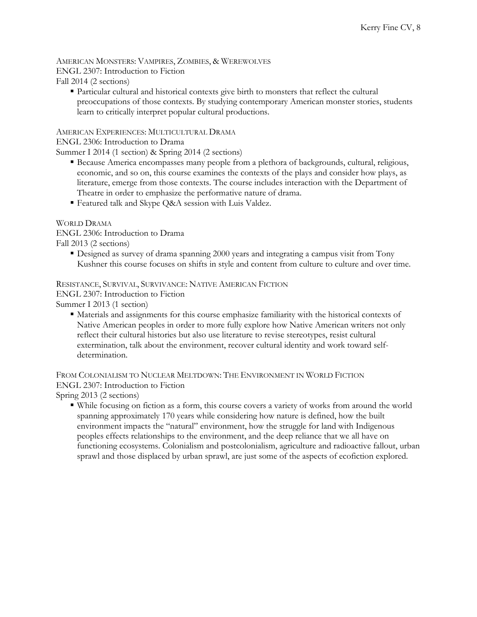AMERICAN MONSTERS: VAMPIRES, ZOMBIES, & WEREWOLVES ENGL 2307: Introduction to Fiction Fall 2014 (2 sections)

 Particular cultural and historical contexts give birth to monsters that reflect the cultural preoccupations of those contexts. By studying contemporary American monster stories, students learn to critically interpret popular cultural productions.

AMERICAN EXPERIENCES: MULTICULTURAL DRAMA

ENGL 2306: Introduction to Drama

Summer I 2014 (1 section) & Spring 2014 (2 sections)

- Because America encompasses many people from a plethora of backgrounds, cultural, religious, economic, and so on, this course examines the contexts of the plays and consider how plays, as literature, emerge from those contexts. The course includes interaction with the Department of Theatre in order to emphasize the performative nature of drama.
- Featured talk and Skype Q&A session with Luis Valdez.

WORLD DRAMA

ENGL 2306: Introduction to Drama Fall 2013 (2 sections)

 Designed as survey of drama spanning 2000 years and integrating a campus visit from Tony Kushner this course focuses on shifts in style and content from culture to culture and over time.

RESISTANCE, SURVIVAL, SURVIVANCE: NATIVE AMERICAN FICTION

ENGL 2307: Introduction to Fiction

Summer I 2013 (1 section)

 Materials and assignments for this course emphasize familiarity with the historical contexts of Native American peoples in order to more fully explore how Native American writers not only reflect their cultural histories but also use literature to revise stereotypes, resist cultural extermination, talk about the environment, recover cultural identity and work toward selfdetermination.

FROM COLONIALISM TO NUCLEAR MELTDOWN: THE ENVIRONMENT IN WORLD FICTION ENGL 2307: Introduction to Fiction

Spring 2013 (2 sections)

 While focusing on fiction as a form, this course covers a variety of works from around the world spanning approximately 170 years while considering how nature is defined, how the built environment impacts the "natural" environment, how the struggle for land with Indigenous peoples effects relationships to the environment, and the deep reliance that we all have on functioning ecosystems. Colonialism and postcolonialism, agriculture and radioactive fallout, urban sprawl and those displaced by urban sprawl, are just some of the aspects of ecofiction explored.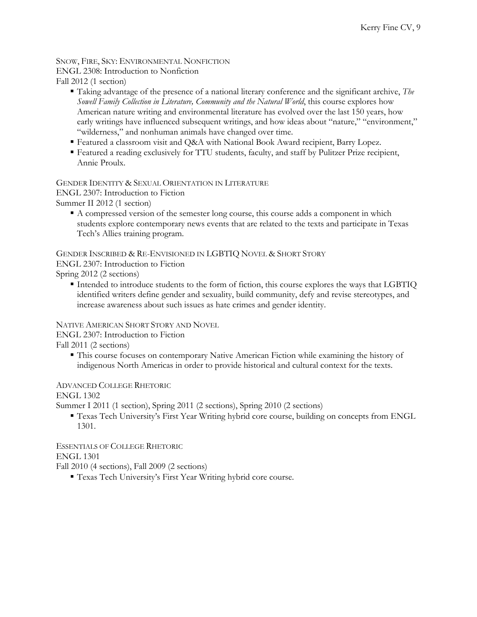#### SNOW, FIRE, SKY: ENVIRONMENTAL NONFICTION ENGL 2308: Introduction to Nonfiction Fall 2012 (1 section)

- Taking advantage of the presence of a national literary conference and the significant archive, *The Sowell Family Collection in Literature, Community and the Natural World*, this course explores how American nature writing and environmental literature has evolved over the last 150 years, how early writings have influenced subsequent writings, and how ideas about "nature," "environment," "wilderness," and nonhuman animals have changed over time.
- Featured a classroom visit and Q&A with National Book Award recipient, Barry Lopez.
- Featured a reading exclusively for TTU students, faculty, and staff by Pulitzer Prize recipient, Annie Proulx.

#### GENDER IDENTITY & SEXUAL ORIENTATION IN LITERATURE

ENGL 2307: Introduction to Fiction

Summer II 2012 (1 section)

 A compressed version of the semester long course, this course adds a component in which students explore contemporary news events that are related to the texts and participate in Texas Tech's Allies training program.

GENDER INSCRIBED & RE-ENVISIONED IN LGBTIQ NOVEL & SHORT STORY

ENGL 2307: Introduction to Fiction

Spring 2012 (2 sections)

 Intended to introduce students to the form of fiction, this course explores the ways that LGBTIQ identified writers define gender and sexuality, build community, defy and revise stereotypes, and increase awareness about such issues as hate crimes and gender identity.

#### NATIVE AMERICAN SHORT STORY AND NOVEL

ENGL 2307: Introduction to Fiction

Fall 2011 (2 sections)

 This course focuses on contemporary Native American Fiction while examining the history of indigenous North Americas in order to provide historical and cultural context for the texts.

#### ADVANCED COLLEGE RHETORIC

ENGL 1302

Summer I 2011 (1 section), Spring 2011 (2 sections), Spring 2010 (2 sections)

 Texas Tech University's First Year Writing hybrid core course, building on concepts from ENGL 1301.

ESSENTIALS OF COLLEGE RHETORIC ENGL 1301

Fall 2010 (4 sections), Fall 2009 (2 sections)

Texas Tech University's First Year Writing hybrid core course.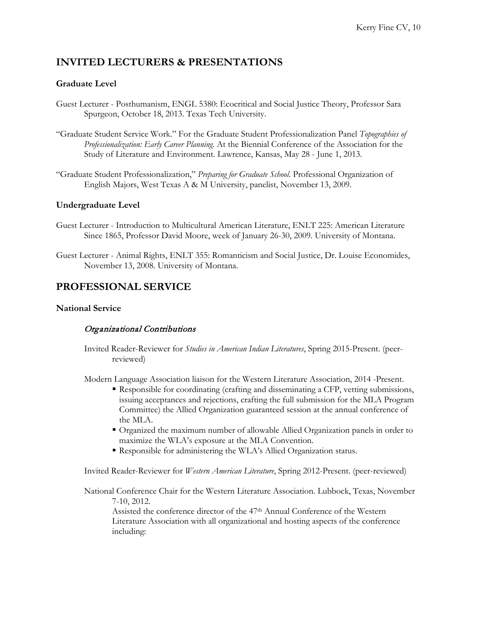# **INVITED LECTURERS & PRESENTATIONS**

#### **Graduate Level**

- Guest Lecturer Posthumanism, ENGL 5380: Ecocritical and Social Justice Theory, Professor Sara Spurgeon, October 18, 2013. Texas Tech University.
- "Graduate Student Service Work." For the Graduate Student Professionalization Panel *Topographies of Professionalization: Early Career Planning*. At the Biennial Conference of the Association for the Study of Literature and Environment. Lawrence, Kansas, May 28 - June 1, 2013.
- "Graduate Student Professionalization," *Preparing for Graduate School*. Professional Organization of English Majors, West Texas A & M University, panelist, November 13, 2009.

#### **Undergraduate Level**

- Guest Lecturer Introduction to Multicultural American Literature, ENLT 225: American Literature Since 1865, Professor David Moore, week of January 26-30, 2009. University of Montana.
- Guest Lecturer Animal Rights, ENLT 355: Romanticism and Social Justice, Dr. Louise Economides, November 13, 2008. University of Montana.

## **PROFESSIONAL SERVICE**

#### **National Service**

#### Organizational Contributions

Invited Reader-Reviewer for *Studies in American Indian Literatures*, Spring 2015-Present. (peerreviewed)

Modern Language Association liaison for the Western Literature Association, 2014 -Present.

- Responsible for coordinating (crafting and disseminating a CFP, vetting submissions, issuing acceptances and rejections, crafting the full submission for the MLA Program Committee) the Allied Organization guaranteed session at the annual conference of the MLA.
- Organized the maximum number of allowable Allied Organization panels in order to maximize the WLA's exposure at the MLA Convention.
- Responsible for administering the WLA's Allied Organization status.

Invited Reader-Reviewer for *Western American Literature*, Spring 2012-Present. (peer-reviewed)

National Conference Chair for the Western Literature Association. Lubbock, Texas, November 7-10, 2012.

Assisted the conference director of the 47th Annual Conference of the Western Literature Association with all organizational and hosting aspects of the conference including: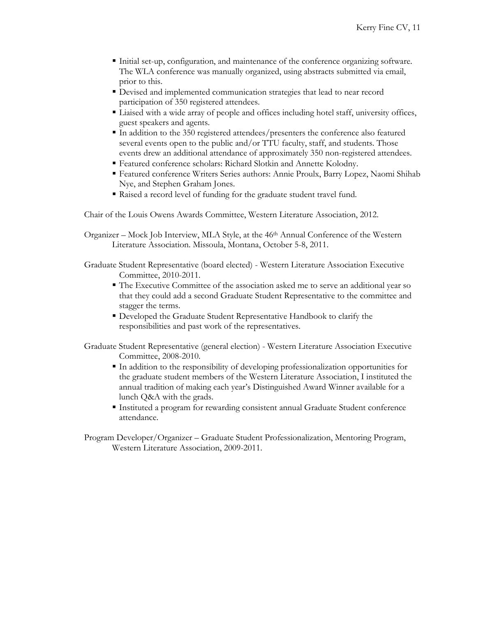- Initial set-up, configuration, and maintenance of the conference organizing software. The WLA conference was manually organized, using abstracts submitted via email, prior to this.
- Devised and implemented communication strategies that lead to near record participation of 350 registered attendees.
- Liaised with a wide array of people and offices including hotel staff, university offices, guest speakers and agents.
- In addition to the 350 registered attendees/presenters the conference also featured several events open to the public and/or TTU faculty, staff, and students. Those events drew an additional attendance of approximately 350 non-registered attendees.
- Featured conference scholars: Richard Slotkin and Annette Kolodny.
- Featured conference Writers Series authors: Annie Proulx, Barry Lopez, Naomi Shihab Nye, and Stephen Graham Jones.
- Raised a record level of funding for the graduate student travel fund.

Chair of the Louis Owens Awards Committee, Western Literature Association, 2012.

Organizer – Mock Job Interview, MLA Style, at the 46th Annual Conference of the Western Literature Association. Missoula, Montana, October 5-8, 2011.

Graduate Student Representative (board elected) - Western Literature Association Executive Committee, 2010-2011.

- The Executive Committee of the association asked me to serve an additional year so that they could add a second Graduate Student Representative to the committee and stagger the terms.
- Developed the Graduate Student Representative Handbook to clarify the responsibilities and past work of the representatives.

Graduate Student Representative (general election) - Western Literature Association Executive Committee, 2008-2010.

- In addition to the responsibility of developing professionalization opportunities for the graduate student members of the Western Literature Association, I instituted the annual tradition of making each year's Distinguished Award Winner available for a lunch Q&A with the grads.
- Instituted a program for rewarding consistent annual Graduate Student conference attendance.

Program Developer/Organizer – Graduate Student Professionalization, Mentoring Program, Western Literature Association, 2009-2011.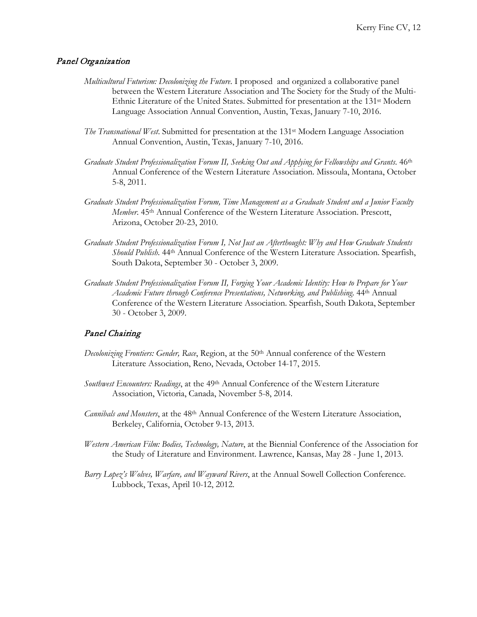#### Panel Organization

- *Multicultural Futurism: Decolonizing the Future*. I proposed and organized a collaborative panel between the Western Literature Association and The Society for the Study of the Multi-Ethnic Literature of the United States. Submitted for presentation at the 131st Modern Language Association Annual Convention, Austin, Texas, January 7-10, 2016.
- *The Transnational West*. Submitted for presentation at the 131<sup>st</sup> Modern Language Association Annual Convention, Austin, Texas, January 7-10, 2016.
- *Graduate Student Professionalization Forum II, Seeking Out and Applying for Fellowships and Grants*. 46th Annual Conference of the Western Literature Association. Missoula, Montana, October 5-8, 2011.
- *Graduate Student Professionalization Forum, Time Management as a Graduate Student and a Junior Faculty Member.* 45<sup>th</sup> Annual Conference of the Western Literature Association. Prescott, Arizona, October 20-23, 2010.
- *Graduate Student Professionalization Forum I, Not Just an Afterthought: Why and How Graduate Students Should Publish*. 44th Annual Conference of the Western Literature Association. Spearfish, South Dakota, September 30 - October 3, 2009.
- *Graduate Student Professionalization Forum II, Forging Your Academic Identity: How to Prepare for Your Academic Future through Conference Presentations, Networking, and Publishing*. 44th Annual Conference of the Western Literature Association. Spearfish, South Dakota, September 30 - October 3, 2009.

#### Panel Chairing

- *Decolonizing Frontiers: Gender, Race*, Region, at the 50th Annual conference of the Western Literature Association, Reno, Nevada, October 14-17, 2015.
- *Southwest Encounters: Readings*, at the 49th Annual Conference of the Western Literature Association, Victoria, Canada, November 5-8, 2014.
- *Cannibals and Monsters*, at the 48th Annual Conference of the Western Literature Association, Berkeley, California, October 9-13, 2013.
- *Western American Film: Bodies, Technology, Nature*, at the Biennial Conference of the Association for the Study of Literature and Environment. Lawrence, Kansas, May 28 - June 1, 2013.
- *Barry Lopez's Wolves, Warfare, and Wayward Rivers*, at the Annual Sowell Collection Conference. Lubbock, Texas, April 10-12, 2012.